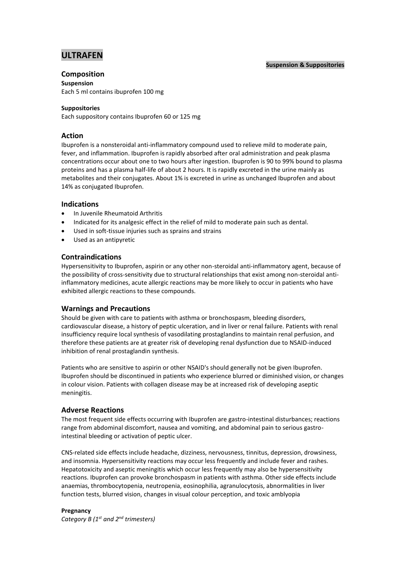# **ULTRAFEN**

#### **Suspension & Suppositories**

# **Composition**

**Suspension** Each 5 ml contains ibuprofen 100 mg

# **Suppositories**

Each suppository contains Ibuprofen 60 or 125 mg

# **Action**

Ibuprofen is a nonsteroidal anti-inflammatory compound used to relieve mild to moderate pain, fever, and inflammation. Ibuprofen is rapidly absorbed after oral administration and peak plasma concentrations occur about one to two hours after ingestion. Ibuprofen is 90 to 99% bound to plasma proteins and has a plasma half-life of about 2 hours. It is rapidly excreted in the urine mainly as metabolites and their conjugates. About 1% is excreted in urine as unchanged Ibuprofen and about 14% as conjugated Ibuprofen.

## **Indications**

- In Juvenile Rheumatoid Arthritis
- Indicated for its analgesic effect in the relief of mild to moderate pain such as dental.
- Used in soft-tissue injuries such as sprains and strains
- Used as an antipyretic

# **Contraindications**

Hypersensitivity to Ibuprofen, aspirin or any other non-steroidal anti-inflammatory agent, because of the possibility of cross-sensitivity due to structural relationships that exist among non-steroidal antiinflammatory medicines, acute allergic reactions may be more likely to occur in patients who have exhibited allergic reactions to these compounds.

## **Warnings and Precautions**

Should be given with care to patients with asthma or bronchospasm, bleeding disorders, cardiovascular disease, a history of peptic ulceration, and in liver or renal failure. Patients with renal insufficiency require local synthesis of vasodilating prostaglandins to maintain renal perfusion, and therefore these patients are at greater risk of developing renal dysfunction due to NSAID-induced inhibition of renal prostaglandin synthesis.

Patients who are sensitive to aspirin or other NSAID's should generally not be given Ibuprofen. Ibuprofen should be discontinued in patients who experience blurred or diminished vision, or changes in colour vision. Patients with collagen disease may be at increased risk of developing aseptic meningitis.

# **Adverse Reactions**

The most frequent side effects occurring with Ibuprofen are gastro-intestinal disturbances; reactions range from abdominal discomfort, nausea and vomiting, and abdominal pain to serious gastrointestinal bleeding or activation of peptic ulcer.

CNS-related side effects include headache, dizziness, nervousness, tinnitus, depression, drowsiness, and insomnia. Hypersensitivity reactions may occur less frequently and include fever and rashes. Hepatotoxicity and aseptic meningitis which occur less frequently may also be hypersensitivity reactions. Ibuprofen can provoke bronchospasm in patients with asthma. Other side effects include anaemias, thrombocytopenia, neutropenia, eosinophilia, agranulocytosis, abnormalities in liver function tests, blurred vision, changes in visual colour perception, and toxic amblyopia

## **Pregnancy**

*Category B (1 st and 2nd trimesters)*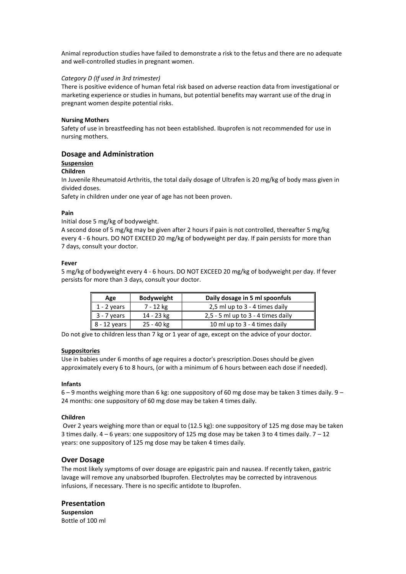Animal reproduction studies have failed to demonstrate a risk to the fetus and there are no adequate and well-controlled studies in pregnant women.

#### *Category D (If used in 3rd trimester)*

There is positive evidence of human fetal risk based on adverse reaction data from investigational or marketing experience or studies in humans, but potential benefits may warrant use of the drug in pregnant women despite potential risks.

#### **Nursing Mothers**

Safety of use in breastfeeding has not been established. Ibuprofen is not recommended for use in nursing mothers.

#### **Dosage and Administration**

#### **Suspension**

#### **Children**

In Juvenile Rheumatoid Arthritis, the total daily dosage of Ultrafen is 20 mg/kg of body mass given in divided doses.

Safety in children under one year of age has not been proven.

#### **Pain**

Initial dose 5 mg/kg of bodyweight.

A second dose of 5 mg/kg may be given after 2 hours if pain is not controlled, thereafter 5 mg/kg every 4 - 6 hours. DO NOT EXCEED 20 mg/kg of bodyweight per day. If pain persists for more than 7 days, consult your doctor.

#### **Fever**

5 mg/kg of bodyweight every 4 - 6 hours. DO NOT EXCEED 20 mg/kg of bodyweight per day. If fever persists for more than 3 days, consult your doctor.

| Age                      | <b>Bodyweight</b> | Daily dosage in 5 ml spoonfuls       |
|--------------------------|-------------------|--------------------------------------|
| $1 - 2$ years            | 7 - 12 kg         | 2,5 ml up to 3 - 4 times daily       |
| 3 - 7 years              | 14 - 23 kg        | $2,5 - 5$ ml up to 3 - 4 times daily |
| $\parallel$ 8 - 12 years | 25 - 40 kg        | 10 ml up to 3 - 4 times daily        |

Do not give to children less than 7 kg or 1 year of age, except on the advice of your doctor.

#### **Suppositories**

Use in babies under 6 months of age requires a doctor's prescription.Doses should be given approximately every 6 to 8 hours, (or with a minimum of 6 hours between each dose if needed).

#### **Infants**

 $6 - 9$  months weighing more than 6 kg; one suppository of 60 mg dose may be taken 3 times daily.  $9 -$ 24 months: one suppository of 60 mg dose may be taken 4 times daily.

#### **Children**

Over 2 years weighing more than or equal to (12.5 kg): one suppository of 125 mg dose may be taken 3 times daily.  $4 - 6$  years: one suppository of 125 mg dose may be taken 3 to 4 times daily.  $7 - 12$ years: one suppository of 125 mg dose may be taken 4 times daily.

#### **Over Dosage**

The most likely symptoms of over dosage are epigastric pain and nausea. If recently taken, gastric lavage will remove any unabsorbed Ibuprofen. Electrolytes may be corrected by intravenous infusions, if necessary. There is no specific antidote to Ibuprofen.

#### **Presentation**

**Suspension** Bottle of 100 ml